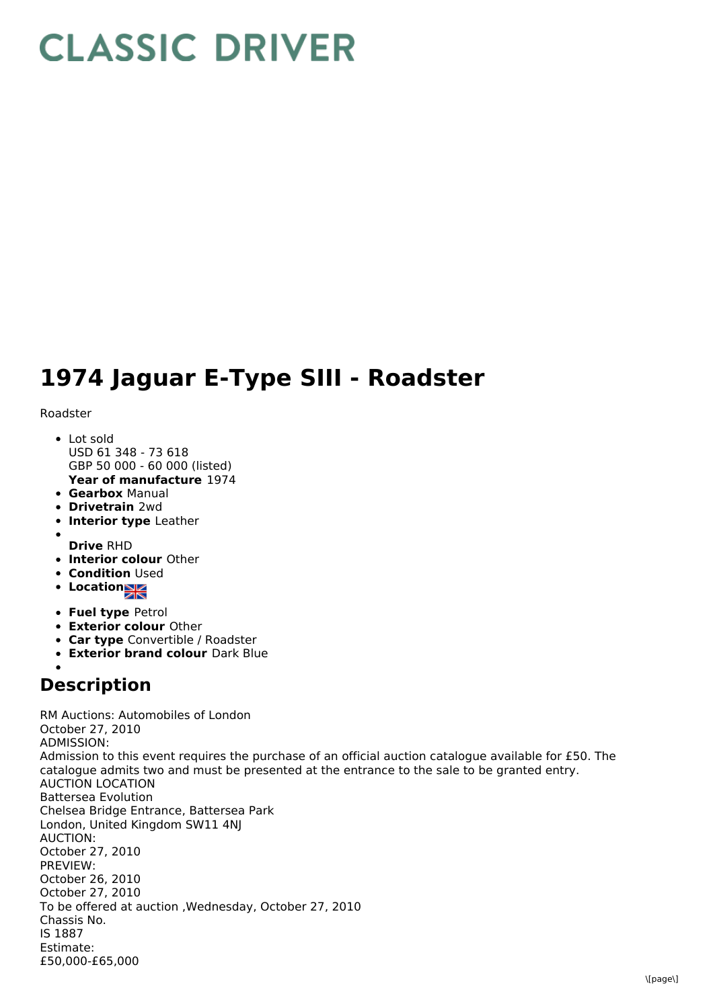## **CLASSIC DRIVER**

## **1974 Jaguar E-Type SIII - Roadster**

Roadster

- **Year of manufacture** 1974 Lot sold USD 61 348 - 73 618 GBP 50 000 - 60 000 (listed)
- **Gearbox** Manual
- **Drivetrain** 2wd
- **Interior type** Leather
- 
- **Drive** RHD
- **Interior colour** Other
- **Condition Used**
- Location
- **Fuel type** Petrol
- **Exterior colour** Other
- **Car type** Convertible / Roadster
- **Exterior brand colour** Dark Blue

## **Description**

RM Auctions: Automobiles of London October 27, 2010 ADMISSION: Admission to this event requires the purchase of an official auction catalogue available for £50. The catalogue admits two and must be presented at the entrance to the sale to be granted entry. AUCTION LOCATION Battersea Evolution Chelsea Bridge Entrance, Battersea Park London, United Kingdom SW11 4NJ AUCTION: October 27, 2010 PREVIEW: October 26, 2010 October 27, 2010 To be offered at auction ,Wednesday, October 27, 2010 Chassis No. IS 1887 Estimate: £50,000-£65,000